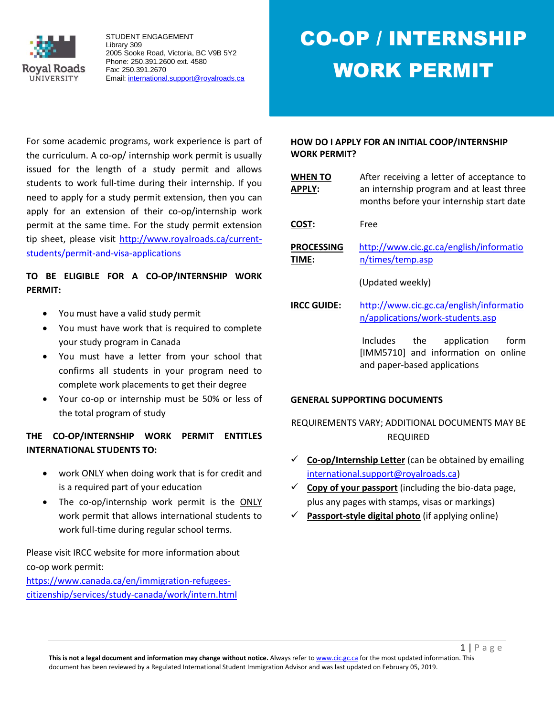

CO-OP / INTERNSHIP WORK PERMIT

For some academic programs, work experience is part of the curriculum. A co-op/ internship work permit is usually issued for the length of a study permit and allows students to work full-time during their internship. If you need to apply for a study permit extension, then you can apply for an extension of their co-op/internship work permit at the same time. For the study permit extension tip sheet, please visit [http://www.royalroads.ca/current](http://www.royalroads.ca/current-students/permit-and-visa-applications)[students/permit-and-visa-applications](http://www.royalroads.ca/current-students/permit-and-visa-applications) 

## **TO BE ELIGIBLE FOR A CO-OP/INTERNSHIP WORK PERMIT:**

- You must have a valid study permit
- You must have work that is required to complete your study program in Canada
- You must have a letter from your school that confirms all students in your program need to complete work placements to get their degree
- Your co-op or internship must be 50% or less of the total program of study

### **THE CO-OP/INTERNSHIP WORK PERMIT ENTITLES INTERNATIONAL STUDENTS TO:**

- work ONLY when doing work that is for credit and is a required part of your education
- The co-op/internship work permit is the ONLY work permit that allows international students to work full-time during regular school terms.

Please visit IRCC website for more information about co-op work permit:

[https://www.canada.ca/en/immigration-refugees](https://www.canada.ca/en/immigration-refugees-citizenship/services/study-canada/work/intern.html)[citizenship/services/study-canada/work/intern.html](https://www.canada.ca/en/immigration-refugees-citizenship/services/study-canada/work/intern.html) 

#### **HOW DO I APPLY FOR AN INITIAL COOP/INTERNSHIP WORK PERMIT?**

| <b>WHEN TO</b><br><b>APPLY:</b> | After receiving a letter of acceptance to<br>an internship program and at least three<br>months before your internship start date |  |
|---------------------------------|-----------------------------------------------------------------------------------------------------------------------------------|--|
| COST:                           | Free                                                                                                                              |  |
| <b>PROCESSING</b><br>TIME:      | http://www.cic.gc.ca/english/informatio<br>n/times/temp.asp                                                                       |  |
|                                 | (Updated weekly)                                                                                                                  |  |

**IRCC GUIDE:** [http://www.cic.gc.ca/english/informatio](http://www.cic.gc.ca/english/information/applications/work-students.asp) [n/applications/work-students.asp](http://www.cic.gc.ca/english/information/applications/work-students.asp)

> Includes the application form [IMM5710] and information on online and paper-based applications

### **GENERAL SUPPORTING DOCUMENTS**

REQUIREMENTS VARY; ADDITIONAL DOCUMENTS MAY BE REQUIRED

- **Co-op/Internship Letter** (can be obtained by emailing [international.support@royalroads.ca\)](mailto:international.support@royalroads.ca)
- $\checkmark$  Copy of your passport (including the bio-data page, plus any pages with stamps, visas or markings)
- **Passport-style digital photo** (if applying online)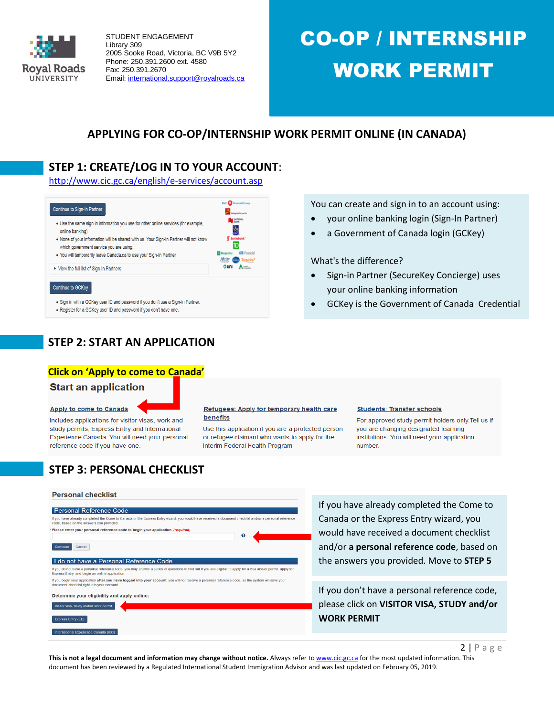

## CO-OP / INTERNSHIP WORK PERMIT

You can create and sign in to an account using: your online banking login (Sign-In Partner) a Government of Canada login (GCKey)

Sign-in Partner (SecureKey Concierge) uses

GCKey is the Government of Canada Credential

your online banking information

What's the difference?

## **APPLYING FOR CO-OP/INTERNSHIP WORK PERMIT ONLINE (IN CANADA)**

## **STEP 1: CREATE/LOG IN TO YOUR ACCOUNT**:

<http://www.cic.gc.ca/english/e-services/account.asp>



- . Sign in with a GCKey user ID and password if you don't use a Sign-In Partner.
- . Register for a GCKey user ID and password if you don't have one.

## **STEP 2: START AN APPLICATION**

#### **Click on 'Apply to come to Canada'**

#### **Start an application**

#### Apply to come to Canada

Includes applications for visitor visas, work and study permits, Express Entry and International Experience Canada. You will need your personal reference code if you have one.

#### Refugees: Apply for temporary health care benefits

Use this application if you are a protected person or refugee claimant who wants to apply for the Interim Federal Health Program.

#### **Students: Transfer schools**

For approved study permit holders only. Tell us if you are changing designated learning institutions. You will need your application number.

## **STEP 3: PERSONAL CHECKLIST**

#### **Personal checklist**

#### **Personal Reference Code**

#### If you have already completed the Come to Canada or the Express Entry wizard, you would have code, based on the answers you provided. ed a document checklist and/or a personal re Please enter your personal reference code to begin your application. (reg  $\mathbf{o}$

#### Continue Cancel

#### I do not have a Personal Reference Code

If you do not have a personal reference code, you may answer a series of questions to find out if you are eligible to apply for a visa and/or permit, apply fo<br>Express Entry, and begin an online application. If you begin your application after you have logged into your account, you will not receive a personal reference code, as the system will save you<br>document checklist right into your account.

#### Determine your eligibility and apply online:

risitor visa, study and/or work permit Express Entry (EE) Step 3: **Step 3: According 2: According IRCCC** question and find out whether and find out whether you are eligible to a product out when the step  $\mathcal{L}$ 

## If you have already completed the Come to Canada or the Express Entry wizard, you would have received a document checklist and/or **a personal reference code**, based on the answers you provided. Move to **STEP 5**

If you don't have a personal reference code, please click on **VISITOR VISA, STUDY and/or WORK PERMIT**

 $2$  | P a g e

This is not a legal document and information may change without notice. Always refer t[o www.cic.gc.ca](http://www.cic.gc.ca/) for the most updated information. This document has been reviewed by a Regulated International Student Immigration Advisor and was last updated on February 05, 2019.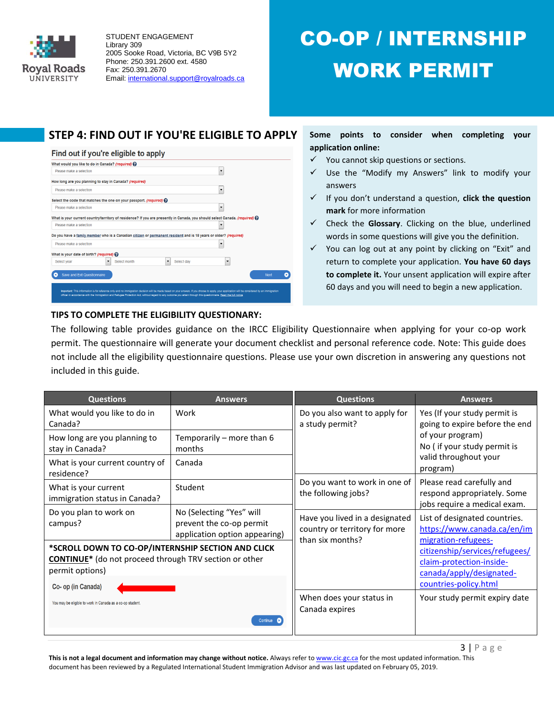

## CO-OP / INTERNSHIP WORK PERMIT

## **STEP 4: FIND OUT IF YOU'RE ELIGIBLE TO APPLY**



**Some points to consider when completing your application online:** 

- $\checkmark$  You cannot skip questions or sections.
- $\checkmark$  Use the "Modify my Answers" link to modify your answers
- If you don't understand a question, **click the question mark** for more information
- Check the **Glossary**. Clicking on the blue, underlined words in some questions will give you the definition.
- $\checkmark$  You can log out at any point by clicking on "Exit" and return to complete your application. **You have 60 days to complete it.** Your unsent application will expire after 60 days and you will need to begin a new application.

### **TIPS TO COMPLETE THE ELIGIBILITY QUESTIONARY:**

The following table provides guidance on the IRCC Eligibility Questionnaire when applying for your co-op work permit. The questionnaire will generate your document checklist and personal reference code. Note: This guide does not include all the eligibility questionnaire questions. Please use your own discretion in answering any questions not included in this guide.

| <b>Questions</b>                                                                                                                                                                                                                      | <b>Answers</b>                                                                        | <b>Questions</b>                                                                    | <b>Answers</b>                                                                                                  |  |
|---------------------------------------------------------------------------------------------------------------------------------------------------------------------------------------------------------------------------------------|---------------------------------------------------------------------------------------|-------------------------------------------------------------------------------------|-----------------------------------------------------------------------------------------------------------------|--|
| What would you like to do in<br>Canada?                                                                                                                                                                                               | Do you also want to apply for<br>Work<br>a study permit?                              |                                                                                     | Yes (If your study permit is<br>going to expire before the end                                                  |  |
| How long are you planning to<br>stay in Canada?                                                                                                                                                                                       | Temporarily - more than 6<br>months                                                   |                                                                                     | of your program)<br>No (if your study permit is                                                                 |  |
| What is your current country of<br>residence?                                                                                                                                                                                         | Canada                                                                                |                                                                                     | valid throughout your<br>program)                                                                               |  |
| What is your current<br>immigration status in Canada?                                                                                                                                                                                 | Student                                                                               | Do you want to work in one of<br>the following jobs?                                | Please read carefully and<br>respond appropriately. Some<br>jobs require a medical exam.                        |  |
| Do you plan to work on<br>campus?                                                                                                                                                                                                     | No (Selecting "Yes" will<br>prevent the co-op permit<br>application option appearing) | Have you lived in a designated<br>country or territory for more<br>than six months? | List of designated countries.<br>https://www.canada.ca/en/im<br>migration-refugees-                             |  |
| *SCROLL DOWN TO CO-OP/INTERNSHIP SECTION AND CLICK<br><b>CONTINUE*</b> (do not proceed through TRV section or other<br>permit options)<br>Co- op (in Canada)<br>You may be eligible to work in Canada as a co-op student.<br>Continue |                                                                                       |                                                                                     | citizenship/services/refugees/<br>claim-protection-inside-<br>canada/apply/designated-<br>countries-policy.html |  |
|                                                                                                                                                                                                                                       |                                                                                       | When does your status in<br>Canada expires                                          | Your study permit expiry date                                                                                   |  |

**This is not a legal document and information may change without notice.** Always refer t[o www.cic.gc.ca](http://www.cic.gc.ca/) for the most updated information. This document has been reviewed by a Regulated International Student Immigration Advisor and was last updated on February 05, 2019.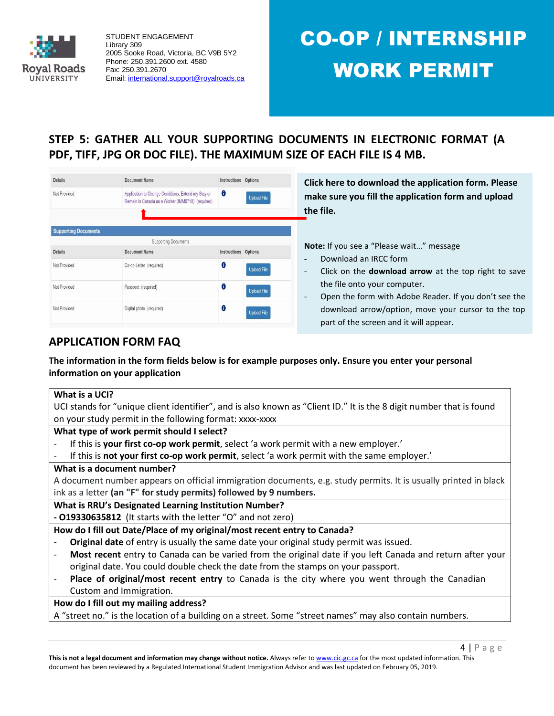

# CO-OP / INTERNSHIP WORK PERMIT

**STEP 5: GATHER ALL YOUR SUPPORTING DOCUMENTS IN ELECTRONIC FORMAT (A PDF, TIFF, JPG OR DOC FILE). THE MAXIMUM SIZE OF EACH FILE IS 4 MB.**

| <b>Details</b>              | <b>Document Name</b>                                                                                     |                      | <b>Instructions</b> Options |  |
|-----------------------------|----------------------------------------------------------------------------------------------------------|----------------------|-----------------------------|--|
| Not Provided                | Application to Change Conditions, Extend my Stay or<br>Remain in Canada as a Worker (IMM5710) (required) | $\bf{0}$             | <b>Upload File</b>          |  |
|                             |                                                                                                          |                      |                             |  |
| <b>Supporting Documents</b> |                                                                                                          |                      |                             |  |
|                             | <b>Supporting Documents</b>                                                                              |                      |                             |  |
| <b>Details</b>              | <b>Document Name</b>                                                                                     | Instructions Options |                             |  |
| Not Provided                | Co-op Letter (required)                                                                                  | 0                    | <b>Upload File</b>          |  |
| Not Provided                | Passport (required)                                                                                      | 0                    | <b>Upload File</b>          |  |
|                             |                                                                                                          |                      |                             |  |

**Click here to download the application form. Please make sure you fill the application form and upload the file.**

**Note:** If you see a "Please wait…" message

- Download an IRCC form
- Click on the **download arrow** at the top right to save the file onto your computer.
- Open the form with Adobe Reader. If you don't see the download arrow/option, move your cursor to the top part of the screen and it will appear.

## **APPLICATION FORM FAQ**

**The information in the form fields below is for example purposes only. Ensure you enter your personal information on your application**

## **What is a UCI?** UCI stands for "unique client identifier", and is also known as "Client ID." It is the 8 digit number that is found on your study permit in the following format: xxxx-xxxx

**What type of work permit should I select?**

- If this is **your first co-op work permit**, select 'a work permit with a new employer.'
- If this is **not your first co-op work permit**, select 'a work permit with the same employer.'

### **What is a document number?**

A document number appears on official immigration documents, e.g. study permits. It is usually printed in black ink as a letter **(an "F" for study permits) followed by 9 numbers.**

**What is RRU's Designated Learning Institution Number?**

**- O19330635812** (It starts with the letter "O" and not zero)

### **How do I fill out Date/Place of my original/most recent entry to Canada?**

- **Original date** of entry is usually the same date your original study permit was issued.
- **Most recent** entry to Canada can be varied from the original date if you left Canada and return after your original date. You could double check the date from the stamps on your passport.
- Place of original/most recent entry to Canada is the city where you went through the Canadian Custom and Immigration.

**How do I fill out my mailing address?**

A "street no." is the location of a building on a street. Some "street names" may also contain numbers.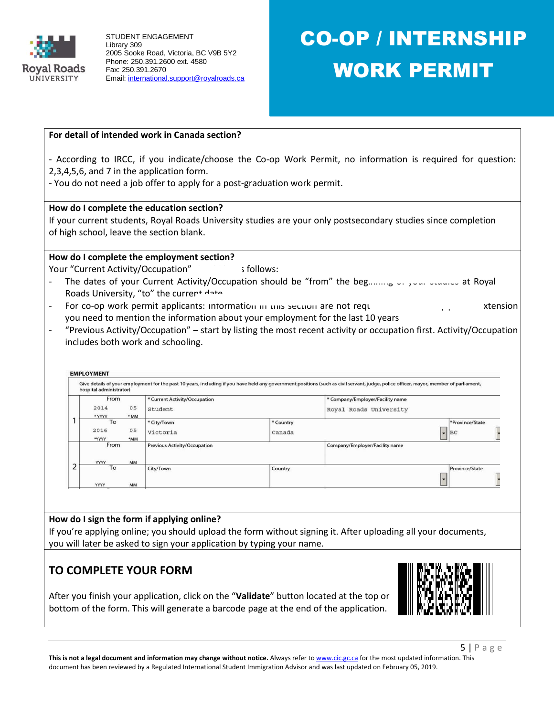

# CO-OP / INTERNSHIP WORK PERMIT

#### **For detail of intended work in Canada section?**

- According to IRCC, if you indicate/choose the Co-op Work Permit, no information is required for question: 2,3,4,5,6, and 7 in the application form.

- You do not need a job offer to apply for a post-graduation work permit.

#### **How do I complete the education section?**

If your current students, Royal Roads University studies are your only postsecondary studies since completion of high school, leave the section blank.

#### **How do I complete the employment section?**

Your "Current Activity/Occupation" should be shown:

- The dates of your Current Activity/Occupation should be "from" the beginning of your studies at Royal Roads University, "to" the current data
- For co-op work permit applicants: information in this section are not required but for study permit are study p you need to mention the information about your employment for the last 10 years
- "Previous Activity/Occupation" start by listing the most recent activity or occupation first. Activity/Occupation includes both work and schooling.

#### **EMPLOYMENT**

|  | hospital administrator) |           | Give details of your employment for the past 10 years, including if you have held any government positions (such as civil servant, judge, police officer, mayor, member of parliament, |           |                                  |                 |  |
|--|-------------------------|-----------|----------------------------------------------------------------------------------------------------------------------------------------------------------------------------------------|-----------|----------------------------------|-----------------|--|
|  | From                    |           | * Current Activity/Occupation                                                                                                                                                          |           | * Company/Employer/Facility name |                 |  |
|  | 2014                    | 05        | Student                                                                                                                                                                                |           | Royal Roads University           |                 |  |
|  | * YYYY                  | * MM      |                                                                                                                                                                                        |           |                                  |                 |  |
|  | To                      |           | * City/Town                                                                                                                                                                            | * Country |                                  | *Province/State |  |
|  | 2016                    | 05        | Victoria                                                                                                                                                                               | Canada    |                                  | $\bullet$ BC    |  |
|  | *YYYY                   | *MM       |                                                                                                                                                                                        |           |                                  |                 |  |
|  | From                    |           | <b>Previous Activity/Occupation</b>                                                                                                                                                    |           | Company/Employer/Facility name   |                 |  |
|  | <b>YYYY</b><br>To       | <b>MM</b> |                                                                                                                                                                                        |           |                                  |                 |  |
|  | <b>YYYY</b>             | <b>MM</b> | City/Town                                                                                                                                                                              | Country   |                                  | Province/State  |  |

### **How do I sign the form if applying online?**

If you're applying online; you should upload the form without signing it. After uploading all your documents, you will later be asked to sign your application by typing your name.

## **TO COMPLETE YOUR FORM**

After you finish your application, click on the "**Validate**" button located at the top or bottom of the form. This will generate a barcode page at the end of the application.